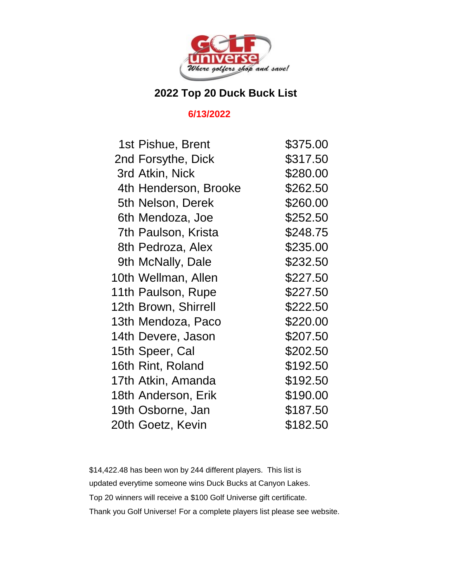

## **2022 Top 20 Duck Buck List**

## **6/13/2022**

| 1st Pishue, Brent     | \$375.00 |
|-----------------------|----------|
| 2nd Forsythe, Dick    | \$317.50 |
| 3rd Atkin, Nick       | \$280.00 |
| 4th Henderson, Brooke | \$262.50 |
| 5th Nelson, Derek     | \$260.00 |
| 6th Mendoza, Joe      | \$252.50 |
| 7th Paulson, Krista   | \$248.75 |
| 8th Pedroza, Alex     | \$235.00 |
| 9th McNally, Dale     | \$232.50 |
| 10th Wellman, Allen   | \$227.50 |
| 11th Paulson, Rupe    | \$227.50 |
| 12th Brown, Shirrell  | \$222.50 |
| 13th Mendoza, Paco    | \$220.00 |
| 14th Devere, Jason    | \$207.50 |
| 15th Speer, Cal       | \$202.50 |
| 16th Rint, Roland     | \$192.50 |
| 17th Atkin, Amanda    | \$192.50 |
| 18th Anderson, Erik   | \$190.00 |
| 19th Osborne, Jan     | \$187.50 |
| 20th Goetz, Kevin     | \$182.50 |

\$14,422.48 has been won by 244 different players. This list is updated everytime someone wins Duck Bucks at Canyon Lakes. Top 20 winners will receive a \$100 Golf Universe gift certificate. Thank you Golf Universe! For a complete players list please see website.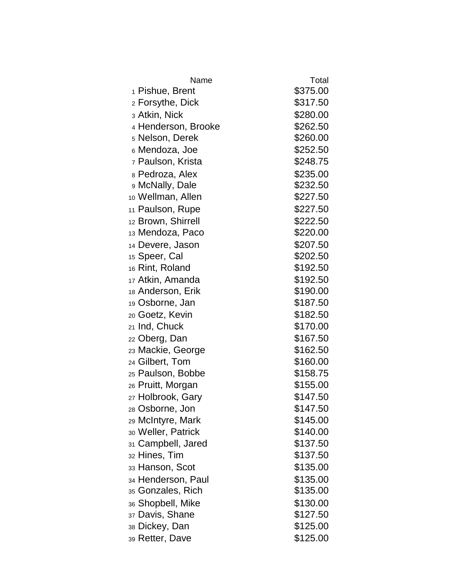| Name                        | Total    |
|-----------------------------|----------|
| 1 Pishue, Brent             | \$375.00 |
| <sub>2</sub> Forsythe, Dick | \$317.50 |
| <sub>3</sub> Atkin, Nick    | \$280.00 |
| 4 Henderson, Brooke         | \$262.50 |
| <sub>5</sub> Nelson, Derek  | \$260.00 |
| 6 Mendoza, Joe              | \$252.50 |
| 7 Paulson, Krista           | \$248.75 |
| 8 Pedroza, Alex             | \$235.00 |
| 9 McNally, Dale             | \$232.50 |
| 10 Wellman, Allen           | \$227.50 |
| 11 Paulson, Rupe            | \$227.50 |
| 12 Brown, Shirrell          | \$222.50 |
| 13 Mendoza, Paco            | \$220.00 |
| 14 Devere, Jason            | \$207.50 |
| 15 Speer, Cal               | \$202.50 |
| 16 Rint, Roland             | \$192.50 |
| 17 Atkin, Amanda            | \$192.50 |
| 18 Anderson, Erik           | \$190.00 |
| 19 Osborne, Jan             | \$187.50 |
| 20 Goetz, Kevin             | \$182.50 |
| 21 Ind, Chuck               | \$170.00 |
| 22 Oberg, Dan               | \$167.50 |
| 23 Mackie, George           | \$162.50 |
| 24 Gilbert, Tom             | \$160.00 |
| 25 Paulson, Bobbe           | \$158.75 |
| 26 Pruitt, Morgan           | \$155.00 |
| 27 Holbrook, Gary           | \$147.50 |
| 28 Osborne, Jon             | \$147.50 |
| 29 McIntyre, Mark           | \$145.00 |
| 30 Weller, Patrick          | \$140.00 |
| 31 Campbell, Jared          | \$137.50 |
| 32 Hines, Tim               | \$137.50 |
| 33 Hanson, Scot             | \$135.00 |
| 34 Henderson, Paul          | \$135.00 |
| 35 Gonzales, Rich           | \$135.00 |
| 36 Shopbell, Mike           | \$130.00 |
| 37 Davis, Shane             | \$127.50 |
| зв Dickey, Dan              | \$125.00 |
| <sub>39</sub> Retter, Dave  | \$125.00 |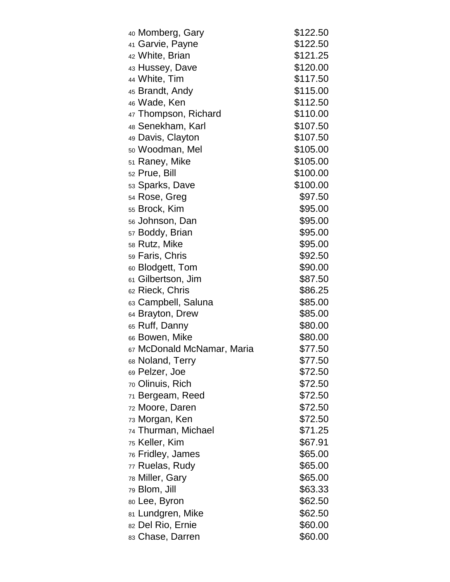| 40 Momberg, Gary               | \$122.50 |
|--------------------------------|----------|
| 41 Garvie, Payne               | \$122.50 |
| 42 White, Brian                | \$121.25 |
| 43 Hussey, Dave                | \$120.00 |
| 44 White, Tim                  | \$117.50 |
| 45 Brandt, Andy                | \$115.00 |
| 46 Wade, Ken                   | \$112.50 |
| 47 Thompson, Richard           | \$110.00 |
| 48 Senekham, Karl              | \$107.50 |
| 49 Davis, Clayton              | \$107.50 |
| <sub>50</sub> Woodman, Mel     | \$105.00 |
| 51 Raney, Mike                 | \$105.00 |
| 52 Prue, Bill                  | \$100.00 |
| 53 Sparks, Dave                | \$100.00 |
| 54 Rose, Greg                  | \$97.50  |
| 55 Brock, Kim                  | \$95.00  |
| 56 Johnson, Dan                | \$95.00  |
| 57 Boddy, Brian                | \$95.00  |
| 58 Rutz, Mike                  | \$95.00  |
| 59 Faris, Chris                | \$92.50  |
| 60 Blodgett, Tom               | \$90.00  |
| 61 Gilbertson, Jim             | \$87.50  |
| 62 Rieck, Chris                | \$86.25  |
| 63 Campbell, Saluna            | \$85.00  |
| 64 Brayton, Drew               | \$85.00  |
| 65 Ruff, Danny                 | \$80.00  |
| 66 Bowen, Mike                 | \$80.00  |
| 67 McDonald McNamar, Maria     | \$77.50  |
| 68 Noland, Terry               | \$77.50  |
| <sub>69</sub> Pelzer, Joe      | \$72.50  |
| <sub>70</sub> Olinuis, Rich    | \$72.50  |
| 71 Bergeam, Reed               | \$72.50  |
| 72 Moore, Daren                | \$72.50  |
| <sup>73</sup> Morgan, Ken      | \$72.50  |
| <sub>74</sub> Thurman, Michael | \$71.25  |
| <sub>75</sub> Keller, Kim      | \$67.91  |
| <sub>76</sub> Fridley, James   | \$65.00  |
| 77 Ruelas, Rudy                | \$65.00  |
| <sub>78</sub> Miller, Gary     | \$65.00  |
| <sub>79</sub> Blom, Jill       | \$63.33  |
| 80 Lee, Byron                  | \$62.50  |
| 81 Lundgren, Mike              | \$62.50  |
| 82 Del Rio, Ernie              | \$60.00  |
| 83 Chase, Darren               | \$60.00  |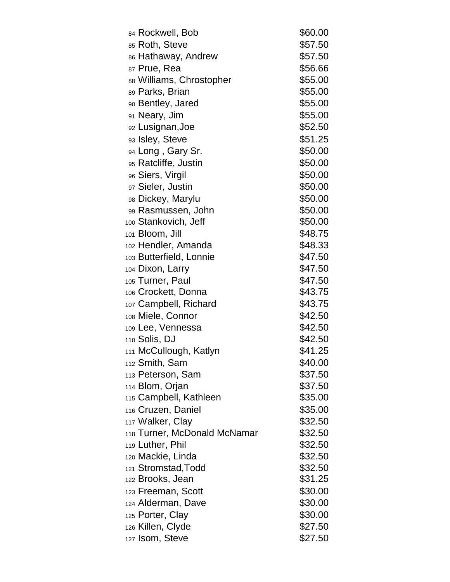| 84 Rockwell, Bob                         | \$60.00            |
|------------------------------------------|--------------------|
| 85 Roth, Steve                           | \$57.50            |
| 86 Hathaway, Andrew                      | \$57.50            |
| 87 Prue, Rea                             | \$56.66            |
| 88 Williams, Chrostopher                 | \$55.00            |
| 89 Parks, Brian                          | \$55.00            |
| 90 Bentley, Jared                        | \$55.00            |
| 91 Neary, Jim                            | \$55.00            |
| 92 Lusignan, Joe                         | \$52.50            |
| 93 Isley, Steve                          | \$51.25            |
| 94 Long, Gary Sr.                        | \$50.00            |
| 95 Ratcliffe, Justin                     | \$50.00            |
| 96 Siers, Virgil                         | \$50.00            |
| 97 Sieler, Justin                        | \$50.00            |
| 98 Dickey, Marylu                        | \$50.00            |
| 99 Rasmussen, John                       | \$50.00            |
| 100 Stankovich, Jeff                     | \$50.00            |
| 101 Bloom, Jill                          | \$48.75            |
| 102 Hendler, Amanda                      | \$48.33            |
| 103 Butterfield, Lonnie                  | \$47.50            |
| 104 Dixon, Larry                         | \$47.50            |
| 105 Turner, Paul                         | \$47.50            |
| 106 Crockett, Donna                      | \$43.75            |
| 107 Campbell, Richard                    | \$43.75            |
| 108 Miele, Connor                        | \$42.50            |
| 109 Lee, Vennessa                        | \$42.50            |
| 110 Solis, DJ                            | \$42.50            |
| 111 McCullough, Katlyn                   | \$41.25            |
| <sub>112</sub> Smith, Sam                | \$40.00            |
| 113 Peterson, Sam                        | \$37.50            |
| 114 Blom, Orjan                          | \$37.50            |
| 115 Campbell, Kathleen                   | \$35.00            |
| 116 Cruzen, Daniel                       | \$35.00            |
| 117 Walker, Clay                         | \$32.50            |
| 118 Turner, McDonald McNamar             | \$32.50            |
| 119 Luther, Phil                         | \$32.50            |
| 120 Mackie, Linda                        | \$32.50            |
| 121 Stromstad, Todd                      | \$32.50            |
| 122 Brooks, Jean                         | \$31.25            |
| 123 Freeman, Scott<br>124 Alderman, Dave | \$30.00<br>\$30.00 |
|                                          | \$30.00            |
| 125 Porter, Clay                         | \$27.50            |
| 126 Killen, Clyde                        | \$27.50            |
| 127 Isom, Steve                          |                    |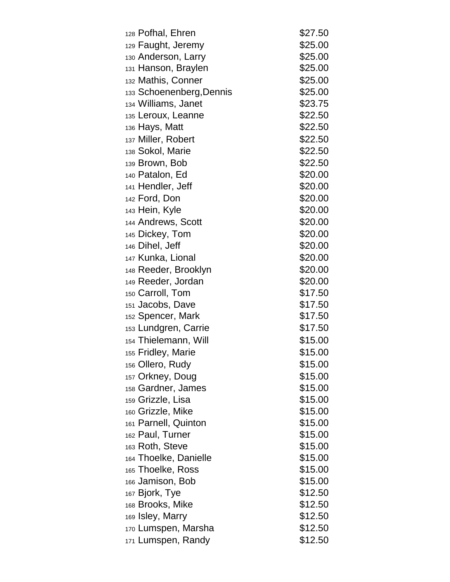| 128 Pofhal, Ehren        | \$27.50 |
|--------------------------|---------|
| 129 Faught, Jeremy       | \$25.00 |
| 130 Anderson, Larry      | \$25.00 |
| 131 Hanson, Braylen      | \$25.00 |
| 132 Mathis, Conner       | \$25.00 |
| 133 Schoenenberg, Dennis | \$25.00 |
| 134 Williams, Janet      | \$23.75 |
| 135 Leroux, Leanne       | \$22.50 |
| 136 Hays, Matt           | \$22.50 |
| 137 Miller, Robert       | \$22.50 |
| 138 Sokol, Marie         | \$22.50 |
| 139 Brown, Bob           | \$22.50 |
| 140 Patalon, Ed          | \$20.00 |
| 141 Hendler, Jeff        | \$20.00 |
| 142 Ford, Don            | \$20.00 |
| 143 Hein, Kyle           | \$20.00 |
| 144 Andrews, Scott       | \$20.00 |
| 145 Dickey, Tom          | \$20.00 |
| 146 Dihel, Jeff          | \$20.00 |
| 147 Kunka, Lional        | \$20.00 |
| 148 Reeder, Brooklyn     | \$20.00 |
| 149 Reeder, Jordan       | \$20.00 |
| 150 Carroll, Tom         | \$17.50 |
| 151 Jacobs, Dave         | \$17.50 |
| 152 Spencer, Mark        | \$17.50 |
| 153 Lundgren, Carrie     | \$17.50 |
| 154 Thielemann, Will     | \$15.00 |
| 155 Fridley, Marie       | \$15.00 |
| 156 Ollero, Rudy         | \$15.00 |
| 157 Orkney, Doug         | \$15.00 |
| 158 Gardner, James       | \$15.00 |
| 159 Grizzle, Lisa        | \$15.00 |
| 160 Grizzle, Mike        | \$15.00 |
| 161 Parnell, Quinton     | \$15.00 |
| 162 Paul, Turner         | \$15.00 |
| 163 Roth, Steve          | \$15.00 |
| 164 Thoelke, Danielle    | \$15.00 |
| 165 Thoelke, Ross        | \$15.00 |
| 166 Jamison, Bob         | \$15.00 |
| 167 Bjork, Tye           | \$12.50 |
| 168 Brooks, Mike         | \$12.50 |
| 169 Isley, Marry         | \$12.50 |
| 170 Lumspen, Marsha      | \$12.50 |
| 171 Lumspen, Randy       | \$12.50 |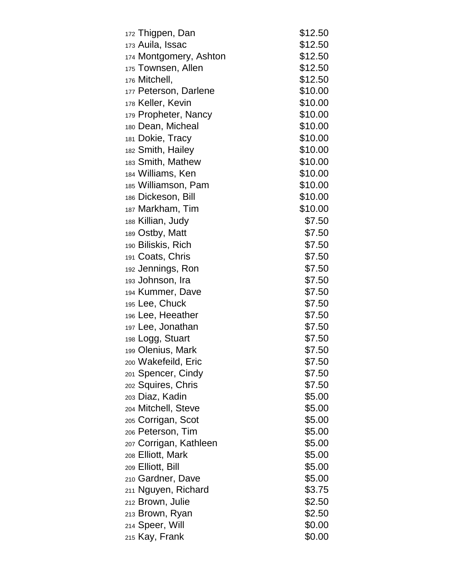| 172 Thigpen, Dan       | \$12.50 |
|------------------------|---------|
| 173 Auila, Issac       | \$12.50 |
| 174 Montgomery, Ashton | \$12.50 |
| 175 Townsen, Allen     | \$12.50 |
| 176 Mitchell,          | \$12.50 |
| 177 Peterson, Darlene  | \$10.00 |
| 178 Keller, Kevin      | \$10.00 |
| 179 Propheter, Nancy   | \$10.00 |
| 180 Dean, Micheal      | \$10.00 |
| 181 Dokie, Tracy       | \$10.00 |
| 182 Smith, Hailey      | \$10.00 |
| 183 Smith, Mathew      | \$10.00 |
| 184 Williams, Ken      | \$10.00 |
| 185 Williamson, Pam    | \$10.00 |
| 186 Dickeson, Bill     | \$10.00 |
| 187 Markham, Tim       | \$10.00 |
| 188 Killian, Judy      | \$7.50  |
| 189 Ostby, Matt        | \$7.50  |
| 190 Biliskis, Rich     | \$7.50  |
| 191 Coats, Chris       | \$7.50  |
| 192 Jennings, Ron      | \$7.50  |
| 193 Johnson, Ira       | \$7.50  |
| 194 Kummer, Dave       | \$7.50  |
| 195 Lee, Chuck         | \$7.50  |
| 196 Lee, Heeather      | \$7.50  |
| 197 Lee, Jonathan      | \$7.50  |
| 198 Logg, Stuart       | \$7.50  |
| 199 Olenius, Mark      | \$7.50  |
| 200 Wakefeild, Eric    | \$7.50  |
| 201 Spencer, Cindy     | \$7.50  |
| 202 Squires, Chris     | \$7.50  |
| 203 Diaz, Kadin        | \$5.00  |
| 204 Mitchell, Steve    | \$5.00  |
| 205 Corrigan, Scot     | \$5.00  |
| 206 Peterson, Tim      | \$5.00  |
| 207 Corrigan, Kathleen | \$5.00  |
| 208 Elliott, Mark      | \$5.00  |
| 209 Elliott, Bill      | \$5.00  |
| 210 Gardner, Dave      | \$5.00  |
| 211 Nguyen, Richard    | \$3.75  |
| 212 Brown, Julie       | \$2.50  |
| 213 Brown, Ryan        | \$2.50  |
| 214 Speer, Will        | \$0.00  |
| 215 Kay, Frank         | \$0.00  |